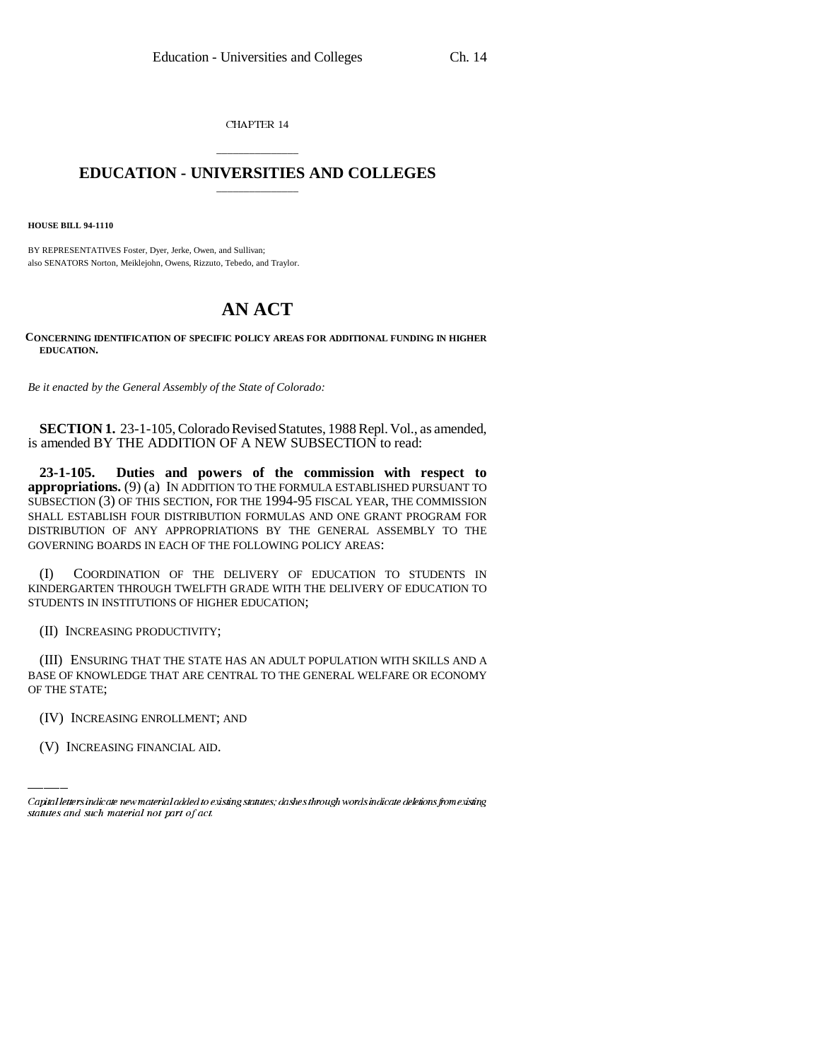CHAPTER 14

## \_\_\_\_\_\_\_\_\_\_\_\_\_\_\_ **EDUCATION - UNIVERSITIES AND COLLEGES** \_\_\_\_\_\_\_\_\_\_\_\_\_\_\_

**HOUSE BILL 94-1110**

BY REPRESENTATIVES Foster, Dyer, Jerke, Owen, and Sullivan; also SENATORS Norton, Meiklejohn, Owens, Rizzuto, Tebedo, and Traylor.

## **AN ACT**

**CONCERNING IDENTIFICATION OF SPECIFIC POLICY AREAS FOR ADDITIONAL FUNDING IN HIGHER EDUCATION.**

*Be it enacted by the General Assembly of the State of Colorado:*

**SECTION 1.** 23-1-105, Colorado Revised Statutes, 1988 Repl. Vol., as amended, is amended BY THE ADDITION OF A NEW SUBSECTION to read:

**23-1-105. Duties and powers of the commission with respect to appropriations.** (9) (a) IN ADDITION TO THE FORMULA ESTABLISHED PURSUANT TO SUBSECTION (3) OF THIS SECTION, FOR THE 1994-95 FISCAL YEAR, THE COMMISSION SHALL ESTABLISH FOUR DISTRIBUTION FORMULAS AND ONE GRANT PROGRAM FOR DISTRIBUTION OF ANY APPROPRIATIONS BY THE GENERAL ASSEMBLY TO THE GOVERNING BOARDS IN EACH OF THE FOLLOWING POLICY AREAS:

(I) COORDINATION OF THE DELIVERY OF EDUCATION TO STUDENTS IN KINDERGARTEN THROUGH TWELFTH GRADE WITH THE DELIVERY OF EDUCATION TO STUDENTS IN INSTITUTIONS OF HIGHER EDUCATION;

(II) INCREASING PRODUCTIVITY;

OF THE STATE; (III) ENSURING THAT THE STATE HAS AN ADULT POPULATION WITH SKILLS AND A BASE OF KNOWLEDGE THAT ARE CENTRAL TO THE GENERAL WELFARE OR ECONOMY

(IV) INCREASING ENROLLMENT; AND

(V) INCREASING FINANCIAL AID.

Capital letters indicate new material added to existing statutes; dashes through words indicate deletions from existing statutes and such material not part of act.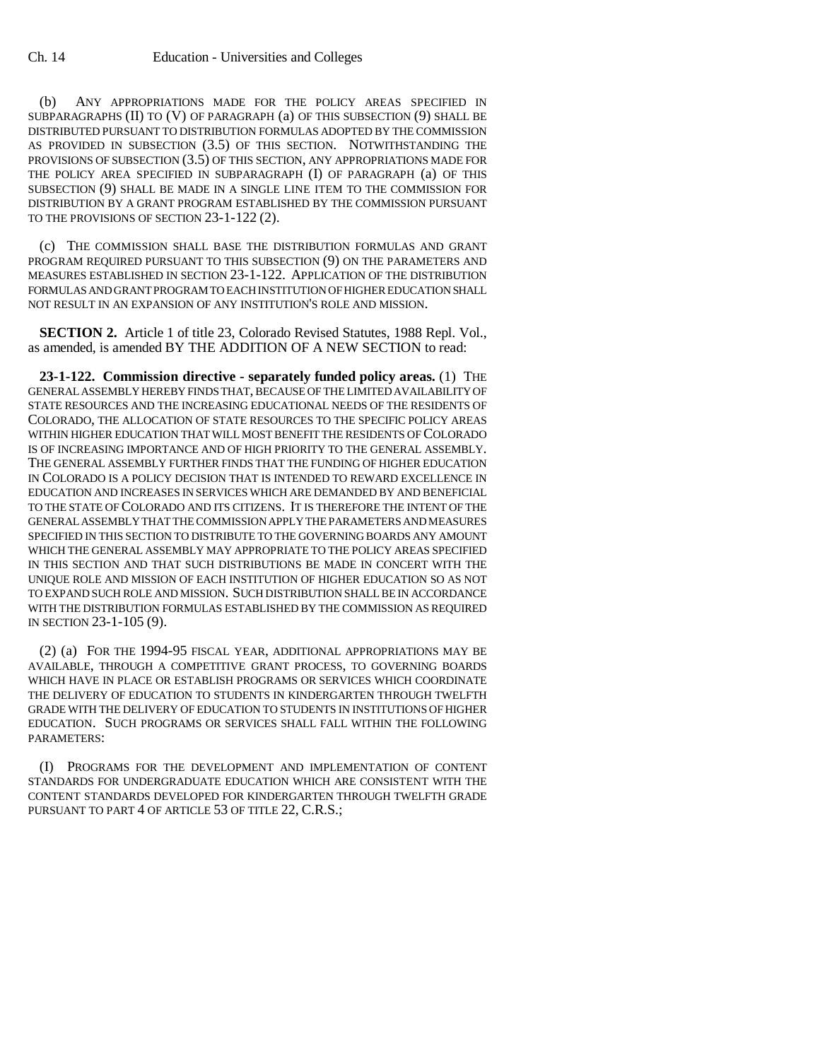(b) ANY APPROPRIATIONS MADE FOR THE POLICY AREAS SPECIFIED IN SUBPARAGRAPHS (II) TO (V) OF PARAGRAPH (a) OF THIS SUBSECTION (9) SHALL BE DISTRIBUTED PURSUANT TO DISTRIBUTION FORMULAS ADOPTED BY THE COMMISSION AS PROVIDED IN SUBSECTION (3.5) OF THIS SECTION. NOTWITHSTANDING THE PROVISIONS OF SUBSECTION (3.5) OF THIS SECTION, ANY APPROPRIATIONS MADE FOR THE POLICY AREA SPECIFIED IN SUBPARAGRAPH (I) OF PARAGRAPH (a) OF THIS SUBSECTION (9) SHALL BE MADE IN A SINGLE LINE ITEM TO THE COMMISSION FOR DISTRIBUTION BY A GRANT PROGRAM ESTABLISHED BY THE COMMISSION PURSUANT TO THE PROVISIONS OF SECTION 23-1-122 (2).

(c) THE COMMISSION SHALL BASE THE DISTRIBUTION FORMULAS AND GRANT PROGRAM REQUIRED PURSUANT TO THIS SUBSECTION (9) ON THE PARAMETERS AND MEASURES ESTABLISHED IN SECTION 23-1-122. APPLICATION OF THE DISTRIBUTION FORMULAS AND GRANT PROGRAM TO EACH INSTITUTION OF HIGHER EDUCATION SHALL NOT RESULT IN AN EXPANSION OF ANY INSTITUTION'S ROLE AND MISSION.

**SECTION 2.** Article 1 of title 23, Colorado Revised Statutes, 1988 Repl. Vol., as amended, is amended BY THE ADDITION OF A NEW SECTION to read:

**23-1-122. Commission directive - separately funded policy areas.** (1) THE GENERAL ASSEMBLY HEREBY FINDS THAT, BECAUSE OF THE LIMITED AVAILABILITY OF STATE RESOURCES AND THE INCREASING EDUCATIONAL NEEDS OF THE RESIDENTS OF COLORADO, THE ALLOCATION OF STATE RESOURCES TO THE SPECIFIC POLICY AREAS WITHIN HIGHER EDUCATION THAT WILL MOST BENEFIT THE RESIDENTS OF COLORADO IS OF INCREASING IMPORTANCE AND OF HIGH PRIORITY TO THE GENERAL ASSEMBLY. THE GENERAL ASSEMBLY FURTHER FINDS THAT THE FUNDING OF HIGHER EDUCATION IN COLORADO IS A POLICY DECISION THAT IS INTENDED TO REWARD EXCELLENCE IN EDUCATION AND INCREASES IN SERVICES WHICH ARE DEMANDED BY AND BENEFICIAL TO THE STATE OF COLORADO AND ITS CITIZENS. IT IS THEREFORE THE INTENT OF THE GENERAL ASSEMBLY THAT THE COMMISSION APPLY THE PARAMETERS AND MEASURES SPECIFIED IN THIS SECTION TO DISTRIBUTE TO THE GOVERNING BOARDS ANY AMOUNT WHICH THE GENERAL ASSEMBLY MAY APPROPRIATE TO THE POLICY AREAS SPECIFIED IN THIS SECTION AND THAT SUCH DISTRIBUTIONS BE MADE IN CONCERT WITH THE UNIQUE ROLE AND MISSION OF EACH INSTITUTION OF HIGHER EDUCATION SO AS NOT TO EXPAND SUCH ROLE AND MISSION. SUCH DISTRIBUTION SHALL BE IN ACCORDANCE WITH THE DISTRIBUTION FORMULAS ESTABLISHED BY THE COMMISSION AS REQUIRED IN SECTION 23-1-105 (9).

(2) (a) FOR THE 1994-95 FISCAL YEAR, ADDITIONAL APPROPRIATIONS MAY BE AVAILABLE, THROUGH A COMPETITIVE GRANT PROCESS, TO GOVERNING BOARDS WHICH HAVE IN PLACE OR ESTABLISH PROGRAMS OR SERVICES WHICH COORDINATE THE DELIVERY OF EDUCATION TO STUDENTS IN KINDERGARTEN THROUGH TWELFTH GRADE WITH THE DELIVERY OF EDUCATION TO STUDENTS IN INSTITUTIONS OF HIGHER EDUCATION. SUCH PROGRAMS OR SERVICES SHALL FALL WITHIN THE FOLLOWING PARAMETERS:

(I) PROGRAMS FOR THE DEVELOPMENT AND IMPLEMENTATION OF CONTENT STANDARDS FOR UNDERGRADUATE EDUCATION WHICH ARE CONSISTENT WITH THE CONTENT STANDARDS DEVELOPED FOR KINDERGARTEN THROUGH TWELFTH GRADE PURSUANT TO PART 4 OF ARTICLE 53 OF TITLE 22, C.R.S.;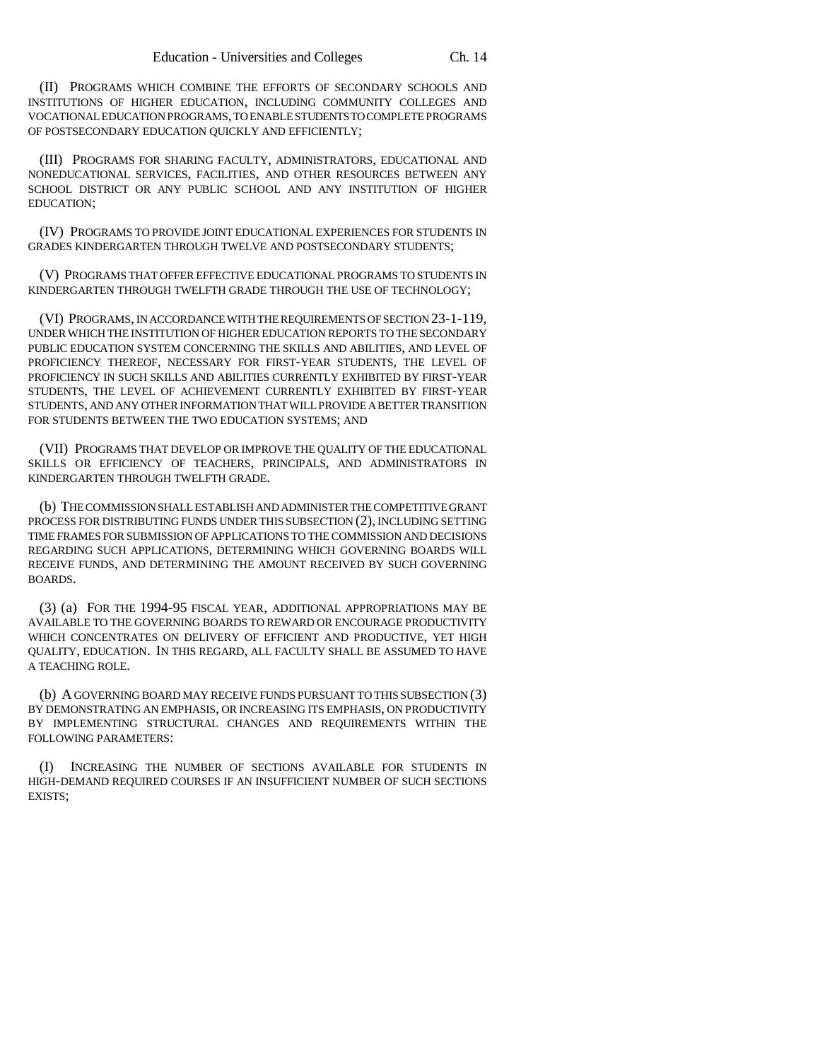(II) PROGRAMS WHICH COMBINE THE EFFORTS OF SECONDARY SCHOOLS AND INSTITUTIONS OF HIGHER EDUCATION, INCLUDING COMMUNITY COLLEGES AND VOCATIONAL EDUCATION PROGRAMS, TO ENABLE STUDENTS TO COMPLETE PROGRAMS OF POSTSECONDARY EDUCATION QUICKLY AND EFFICIENTLY;

(III) PROGRAMS FOR SHARING FACULTY, ADMINISTRATORS, EDUCATIONAL AND NONEDUCATIONAL SERVICES, FACILITIES, AND OTHER RESOURCES BETWEEN ANY SCHOOL DISTRICT OR ANY PUBLIC SCHOOL AND ANY INSTITUTION OF HIGHER EDUCATION;

(IV) PROGRAMS TO PROVIDE JOINT EDUCATIONAL EXPERIENCES FOR STUDENTS IN GRADES KINDERGARTEN THROUGH TWELVE AND POSTSECONDARY STUDENTS;

(V) PROGRAMS THAT OFFER EFFECTIVE EDUCATIONAL PROGRAMS TO STUDENTS IN KINDERGARTEN THROUGH TWELFTH GRADE THROUGH THE USE OF TECHNOLOGY;

(VI) PROGRAMS, IN ACCORDANCE WITH THE REQUIREMENTS OF SECTION 23-1-119, UNDER WHICH THE INSTITUTION OF HIGHER EDUCATION REPORTS TO THE SECONDARY PUBLIC EDUCATION SYSTEM CONCERNING THE SKILLS AND ABILITIES, AND LEVEL OF PROFICIENCY THEREOF, NECESSARY FOR FIRST-YEAR STUDENTS, THE LEVEL OF PROFICIENCY IN SUCH SKILLS AND ABILITIES CURRENTLY EXHIBITED BY FIRST-YEAR STUDENTS, THE LEVEL OF ACHIEVEMENT CURRENTLY EXHIBITED BY FIRST-YEAR STUDENTS, AND ANY OTHER INFORMATION THAT WILL PROVIDE A BETTER TRANSITION FOR STUDENTS BETWEEN THE TWO EDUCATION SYSTEMS; AND

(VII) PROGRAMS THAT DEVELOP OR IMPROVE THE QUALITY OF THE EDUCATIONAL SKILLS OR EFFICIENCY OF TEACHERS, PRINCIPALS, AND ADMINISTRATORS IN KINDERGARTEN THROUGH TWELFTH GRADE.

(b) THE COMMISSION SHALL ESTABLISH AND ADMINISTER THE COMPETITIVE GRANT PROCESS FOR DISTRIBUTING FUNDS UNDER THIS SUBSECTION (2), INCLUDING SETTING TIME FRAMES FOR SUBMISSION OF APPLICATIONS TO THE COMMISSION AND DECISIONS REGARDING SUCH APPLICATIONS, DETERMINING WHICH GOVERNING BOARDS WILL RECEIVE FUNDS, AND DETERMINING THE AMOUNT RECEIVED BY SUCH GOVERNING BOARDS.

(3) (a) FOR THE 1994-95 FISCAL YEAR, ADDITIONAL APPROPRIATIONS MAY BE AVAILABLE TO THE GOVERNING BOARDS TO REWARD OR ENCOURAGE PRODUCTIVITY WHICH CONCENTRATES ON DELIVERY OF EFFICIENT AND PRODUCTIVE, YET HIGH QUALITY, EDUCATION. IN THIS REGARD, ALL FACULTY SHALL BE ASSUMED TO HAVE A TEACHING ROLE.

(b) A GOVERNING BOARD MAY RECEIVE FUNDS PURSUANT TO THIS SUBSECTION (3) BY DEMONSTRATING AN EMPHASIS, OR INCREASING ITS EMPHASIS, ON PRODUCTIVITY BY IMPLEMENTING STRUCTURAL CHANGES AND REQUIREMENTS WITHIN THE FOLLOWING PARAMETERS:

INCREASING THE NUMBER OF SECTIONS AVAILABLE FOR STUDENTS IN HIGH-DEMAND REQUIRED COURSES IF AN INSUFFICIENT NUMBER OF SUCH SECTIONS EXISTS;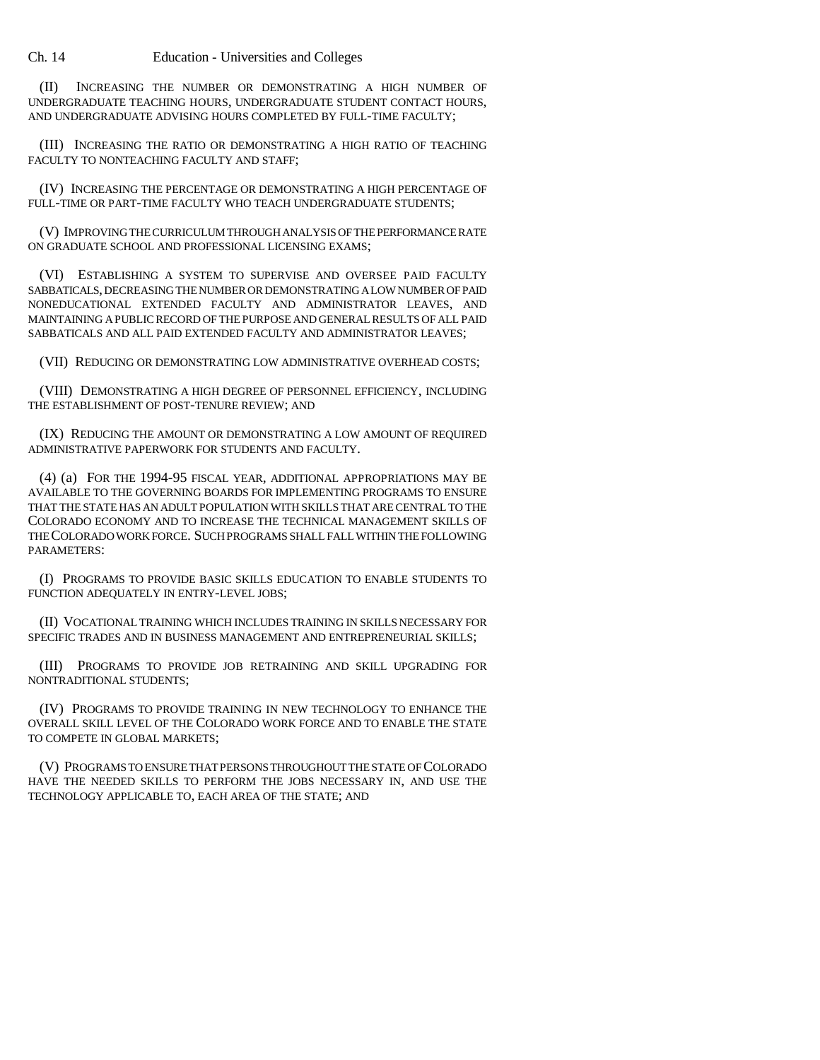Ch. 14 Education - Universities and Colleges

(II) INCREASING THE NUMBER OR DEMONSTRATING A HIGH NUMBER OF UNDERGRADUATE TEACHING HOURS, UNDERGRADUATE STUDENT CONTACT HOURS, AND UNDERGRADUATE ADVISING HOURS COMPLETED BY FULL-TIME FACULTY;

(III) INCREASING THE RATIO OR DEMONSTRATING A HIGH RATIO OF TEACHING FACULTY TO NONTEACHING FACULTY AND STAFF;

(IV) INCREASING THE PERCENTAGE OR DEMONSTRATING A HIGH PERCENTAGE OF FULL-TIME OR PART-TIME FACULTY WHO TEACH UNDERGRADUATE STUDENTS;

(V) IMPROVING THE CURRICULUM THROUGH ANALYSIS OF THE PERFORMANCE RATE ON GRADUATE SCHOOL AND PROFESSIONAL LICENSING EXAMS;

(VI) ESTABLISHING A SYSTEM TO SUPERVISE AND OVERSEE PAID FACULTY SABBATICALS, DECREASING THE NUMBER OR DEMONSTRATING A LOW NUMBER OF PAID NONEDUCATIONAL EXTENDED FACULTY AND ADMINISTRATOR LEAVES, AND MAINTAINING A PUBLIC RECORD OF THE PURPOSE AND GENERAL RESULTS OF ALL PAID SABBATICALS AND ALL PAID EXTENDED FACULTY AND ADMINISTRATOR LEAVES;

(VII) REDUCING OR DEMONSTRATING LOW ADMINISTRATIVE OVERHEAD COSTS;

(VIII) DEMONSTRATING A HIGH DEGREE OF PERSONNEL EFFICIENCY, INCLUDING THE ESTABLISHMENT OF POST-TENURE REVIEW; AND

(IX) REDUCING THE AMOUNT OR DEMONSTRATING A LOW AMOUNT OF REQUIRED ADMINISTRATIVE PAPERWORK FOR STUDENTS AND FACULTY.

(4) (a) FOR THE 1994-95 FISCAL YEAR, ADDITIONAL APPROPRIATIONS MAY BE AVAILABLE TO THE GOVERNING BOARDS FOR IMPLEMENTING PROGRAMS TO ENSURE THAT THE STATE HAS AN ADULT POPULATION WITH SKILLS THAT ARE CENTRAL TO THE COLORADO ECONOMY AND TO INCREASE THE TECHNICAL MANAGEMENT SKILLS OF THE COLORADO WORK FORCE. SUCH PROGRAMS SHALL FALL WITHIN THE FOLLOWING PARAMETERS:

(I) PROGRAMS TO PROVIDE BASIC SKILLS EDUCATION TO ENABLE STUDENTS TO FUNCTION ADEQUATELY IN ENTRY-LEVEL JOBS;

(II) VOCATIONAL TRAINING WHICH INCLUDES TRAINING IN SKILLS NECESSARY FOR SPECIFIC TRADES AND IN BUSINESS MANAGEMENT AND ENTREPRENEURIAL SKILLS;

(III) PROGRAMS TO PROVIDE JOB RETRAINING AND SKILL UPGRADING FOR NONTRADITIONAL STUDENTS;

(IV) PROGRAMS TO PROVIDE TRAINING IN NEW TECHNOLOGY TO ENHANCE THE OVERALL SKILL LEVEL OF THE COLORADO WORK FORCE AND TO ENABLE THE STATE TO COMPETE IN GLOBAL MARKETS;

(V) PROGRAMS TO ENSURE THAT PERSONS THROUGHOUT THE STATE OF COLORADO HAVE THE NEEDED SKILLS TO PERFORM THE JOBS NECESSARY IN, AND USE THE TECHNOLOGY APPLICABLE TO, EACH AREA OF THE STATE; AND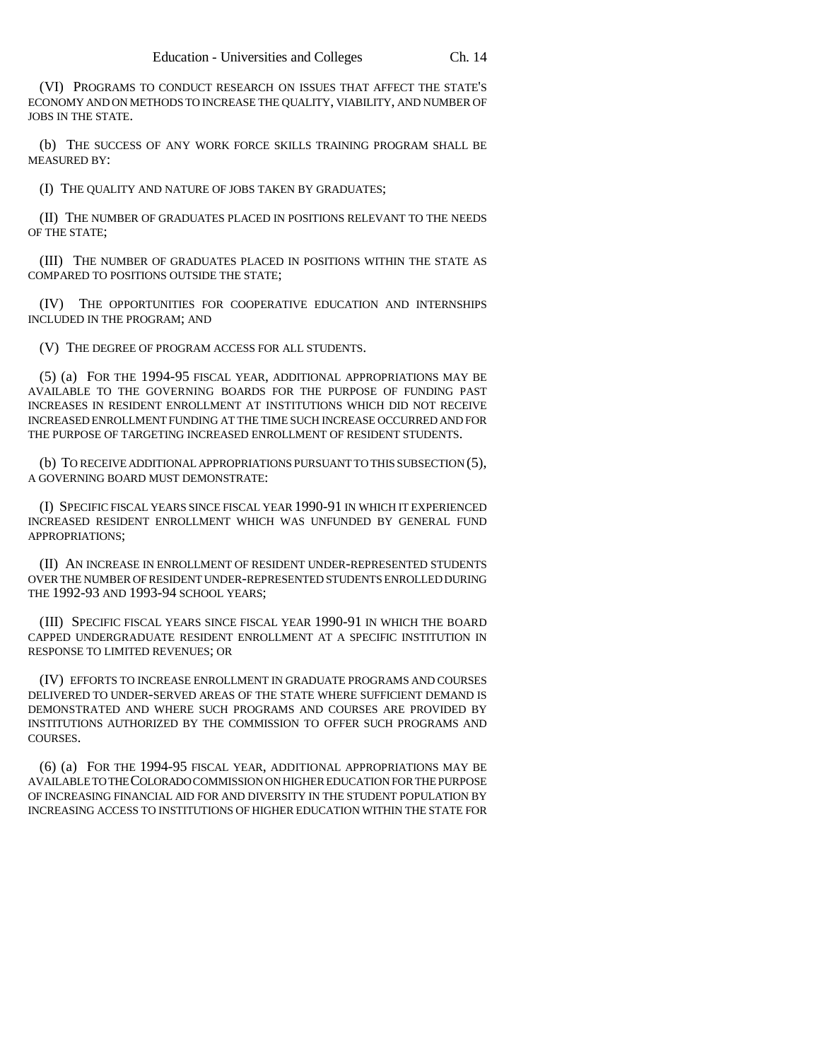(VI) PROGRAMS TO CONDUCT RESEARCH ON ISSUES THAT AFFECT THE STATE'S ECONOMY AND ON METHODS TO INCREASE THE QUALITY, VIABILITY, AND NUMBER OF JOBS IN THE STATE.

(b) THE SUCCESS OF ANY WORK FORCE SKILLS TRAINING PROGRAM SHALL BE MEASURED BY:

(I) THE QUALITY AND NATURE OF JOBS TAKEN BY GRADUATES;

(II) THE NUMBER OF GRADUATES PLACED IN POSITIONS RELEVANT TO THE NEEDS OF THE STATE;

(III) THE NUMBER OF GRADUATES PLACED IN POSITIONS WITHIN THE STATE AS COMPARED TO POSITIONS OUTSIDE THE STATE;

(IV) THE OPPORTUNITIES FOR COOPERATIVE EDUCATION AND INTERNSHIPS INCLUDED IN THE PROGRAM; AND

(V) THE DEGREE OF PROGRAM ACCESS FOR ALL STUDENTS.

(5) (a) FOR THE 1994-95 FISCAL YEAR, ADDITIONAL APPROPRIATIONS MAY BE AVAILABLE TO THE GOVERNING BOARDS FOR THE PURPOSE OF FUNDING PAST INCREASES IN RESIDENT ENROLLMENT AT INSTITUTIONS WHICH DID NOT RECEIVE INCREASED ENROLLMENT FUNDING AT THE TIME SUCH INCREASE OCCURRED AND FOR THE PURPOSE OF TARGETING INCREASED ENROLLMENT OF RESIDENT STUDENTS.

(b) TO RECEIVE ADDITIONAL APPROPRIATIONS PURSUANT TO THIS SUBSECTION (5), A GOVERNING BOARD MUST DEMONSTRATE:

(I) SPECIFIC FISCAL YEARS SINCE FISCAL YEAR 1990-91 IN WHICH IT EXPERIENCED INCREASED RESIDENT ENROLLMENT WHICH WAS UNFUNDED BY GENERAL FUND APPROPRIATIONS;

(II) AN INCREASE IN ENROLLMENT OF RESIDENT UNDER-REPRESENTED STUDENTS OVER THE NUMBER OF RESIDENT UNDER-REPRESENTED STUDENTS ENROLLED DURING THE 1992-93 AND 1993-94 SCHOOL YEARS;

(III) SPECIFIC FISCAL YEARS SINCE FISCAL YEAR 1990-91 IN WHICH THE BOARD CAPPED UNDERGRADUATE RESIDENT ENROLLMENT AT A SPECIFIC INSTITUTION IN RESPONSE TO LIMITED REVENUES; OR

(IV) EFFORTS TO INCREASE ENROLLMENT IN GRADUATE PROGRAMS AND COURSES DELIVERED TO UNDER-SERVED AREAS OF THE STATE WHERE SUFFICIENT DEMAND IS DEMONSTRATED AND WHERE SUCH PROGRAMS AND COURSES ARE PROVIDED BY INSTITUTIONS AUTHORIZED BY THE COMMISSION TO OFFER SUCH PROGRAMS AND COURSES.

(6) (a) FOR THE 1994-95 FISCAL YEAR, ADDITIONAL APPROPRIATIONS MAY BE AVAILABLE TO THE COLORADO COMMISSION ON HIGHER EDUCATION FOR THE PURPOSE OF INCREASING FINANCIAL AID FOR AND DIVERSITY IN THE STUDENT POPULATION BY INCREASING ACCESS TO INSTITUTIONS OF HIGHER EDUCATION WITHIN THE STATE FOR